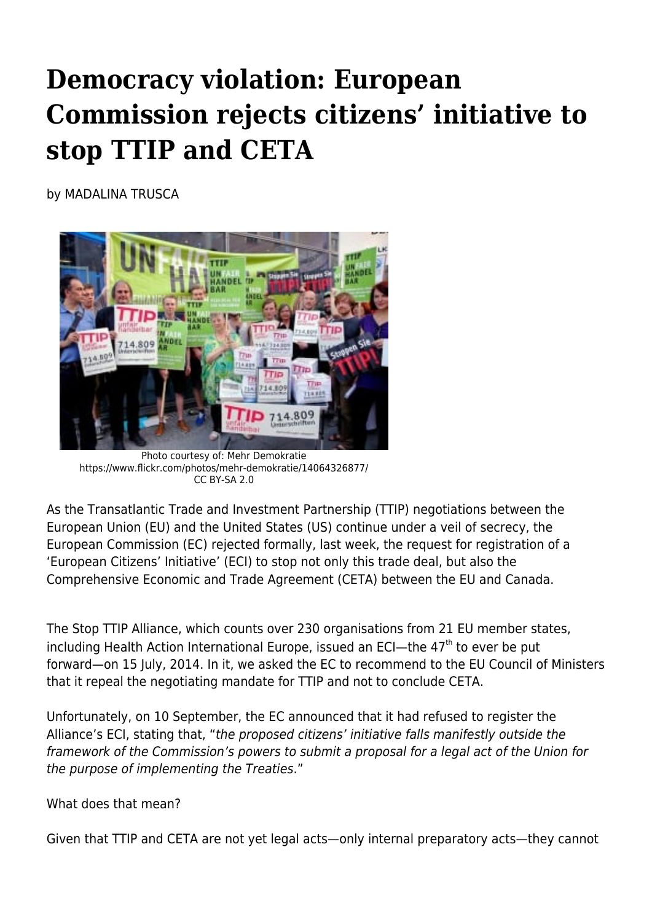## **Democracy violation: European Commission rejects citizens' initiative to stop TTIP and CETA**

by MADALINA TRUSCA



Photo courtesy of: Mehr Demokratie https://www.flickr.com/photos/mehr-demokratie/14064326877/ CC BY-SA 2.0

As the Transatlantic Trade and Investment Partnership (TTIP) negotiations between the European Union (EU) and the United States (US) continue under a veil of secrecy, the European Commission (EC) rejected formally, last week, the request for registration of a 'European Citizens' Initiative' (ECI) to stop not only this trade deal, but also the Comprehensive Economic and Trade Agreement (CETA) between the EU and Canada.

The Stop TTIP Alliance, which counts over 230 organisations from 21 EU member states, including Health Action International Europe, issued an ECI-the  $47<sup>th</sup>$  to ever be put forward—on 15 July, 2014. In it, we asked the EC to recommend to the EU Council of Ministers that it repeal the negotiating mandate for TTIP and not to conclude CETA.

Unfortunately, on 10 September, the EC announced that it had refused to register the Alliance's ECI, stating that, "the proposed citizens' initiative falls manifestly outside the framework of the Commission's powers to submit a proposal for a legal act of the Union for the purpose of implementing the Treaties."

What does that mean?

Given that TTIP and CETA are not yet legal acts—only internal preparatory acts—they cannot